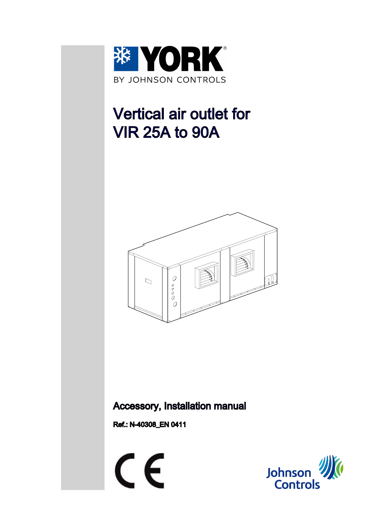

# Vertical air outlet for VIR 25A to 90A



### Accessory, Installation manual

Ref.: N-40308\_EN 0411



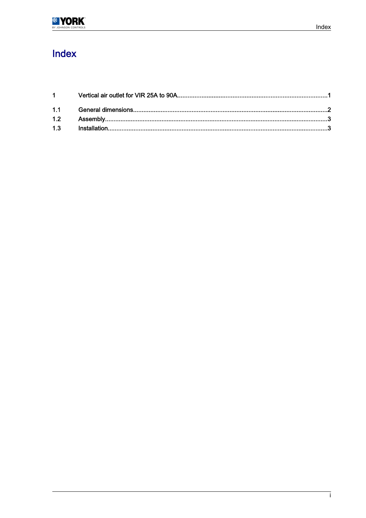# Index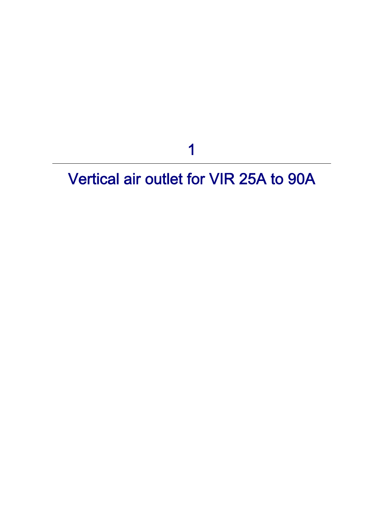1

# <span id="page-2-0"></span>Vertical air outlet for VIR 25A to 90A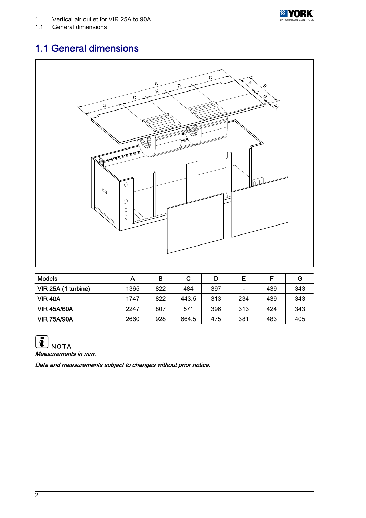

## <span id="page-3-0"></span>1.1 General dimensions



| <b>Models</b>       | Α    | в   | С     |     | Ε                            | E   | G   |
|---------------------|------|-----|-------|-----|------------------------------|-----|-----|
| VIR 25A (1 turbine) | 1365 | 822 | 484   | 397 | $\qquad \qquad \blacksquare$ | 439 | 343 |
| <b>VIR 40A</b>      | 1747 | 822 | 443.5 | 313 | 234                          | 439 | 343 |
| <b>VIR 45A/60A</b>  | 2247 | 807 | 571   | 396 | 313                          | 424 | 343 |
| <b>VIR 75A/90A</b>  | 2660 | 928 | 664.5 | 475 | 381                          | 483 | 405 |



Data and measurements subject to changes without prior notice.